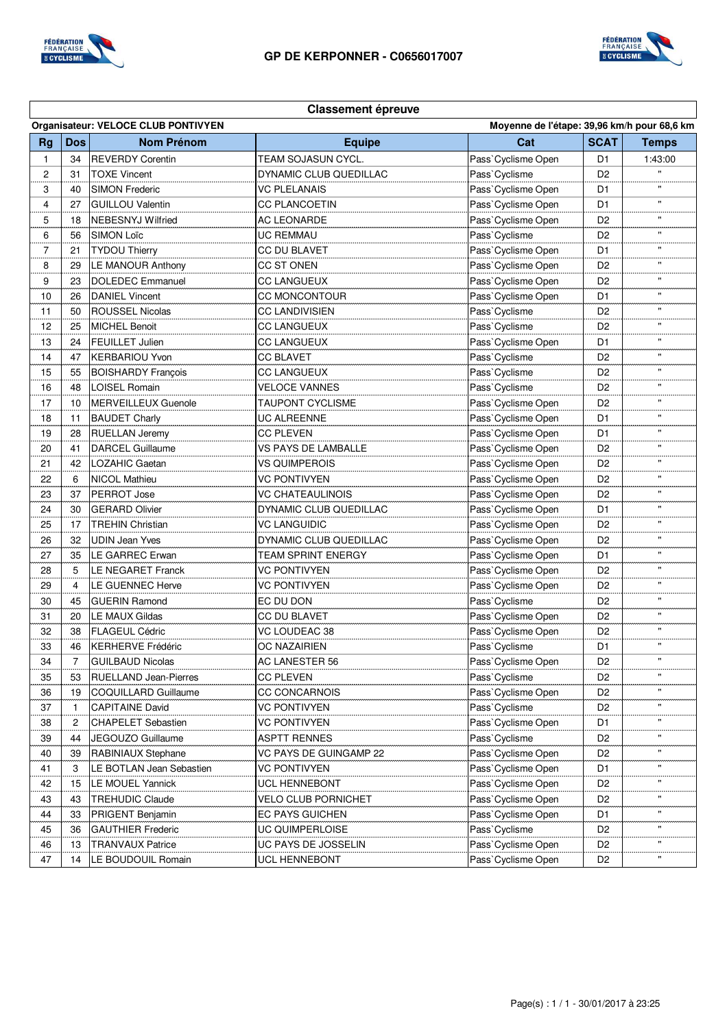

**Classement épreuve**



## **Organisateur: VELOCE CLUB PONTIVYEN Moyenne de l'étape: 39,96 km/h pour 68,6 km Rg Dos Nom Prénom Equipe Cat SCAT Temps** 1 34 REVERDY Corentin TEAM SOJASUN CYCL. Pass`Cyclisme Open D1 1:43:00 2 31 TOXE Vincent DYNAMIC CLUB QUEDILLAC Pass`Cyclisme D2 3 40 SIMON Frederic **VC PLELANAIS** Pass`Cyclisme Open D1 '' 4 27 GUILLOU Valentin CC PLANCOETIN Pass`Cyclisme Open D1 | " 5 18 NEBESNYJ Wilfried AC LEONARDE Pass`Cyclisme Open D2 '' 6 | 56 |SIMON Loïc |UC REMMAU |Pass`Cyclisme | D2 | " 7 21 TYDOU Thierry CC DU BLAVET Pass`Cyclisme Open D1 | " 8 29 LE MANOUR Anthony CC ST ONEN Pass`Cyclisme Open D2 " 9 23 DOLEDEC Emmanuel CC LANGUEUX Pass`Cyclisme Open D2 '' 10 26 DANIEL Vincent CC MONCONTOUR Pass`Cyclisme Open D1 '' 11 | 50 ROUSSEL Nicolas CC LANDIVISIEN Pass`Cyclisme D2 | " 12 25 MICHEL Benoit CC LANGUEUX Pass`Cyclisme D2 D2 " 13 24 FEUILLET Julien CC LANGUEUX Pass`Cyclisme Open D1 <sup>"</sup> 14 47 KERBARIOU Yvon CC BLAVET Pass`Cyclisme D2 " 15 | 55 BOISHARDY François | CC LANGUEUX | Pass`Cyclisme | D2 16 | 48 |LOISEL Romain | VELOCE VANNES | Pass`Cyclisme | D2 | " 17 | 10 | MERVEILLEUX Guenole | TAUPONT CYCLISME | Pass`Cyclisme Open | D2 | " 18 | 11 BAUDET Charly **DRIFF COMPUTE ALREENNE PASS** Cyclisme Open | D1 | " 19 28 RUELLAN Jeremy CC PLEVEN REGISTER Pass`Cyclisme Open D1 <sup>v</sup> 20 41 DARCEL Guillaume VS PAYS DE LAMBALLE Pass`Cyclisme Open D2 | " 21 42 LOZAHIC Gaetan VS QUIMPEROIS Pass`Cyclisme Open D2 '' 22 6 NICOL Mathieu VC PONTIVYEN Pass`Cyclisme Open D2 '' 23 37 PERROT Jose VC CHATEAULINOIS Pass`Cyclisme Open D2 '' 24 30 GERARD Olivier **DYNAMIC CLUB QUEDILLAC** Pass`Cyclisme Open D1 25 | 17 | TREHIN Christian 
VC LANGUIDIC 
Pass`Cyclisme Open | D2 | " 26 32 UDIN Jean Yves DYNAMIC CLUB QUEDILLAC Pass`Cyclisme Open D2 " 27 35 LE GARREC Erwan TEAM SPRINT ENERGY Pass`Cyclisme Open D1 <sup>"</sup> 28 5 LE NEGARET Franck VC PONTIVYEN Pass`Cyclisme Open D2 " 29 4 LE GUENNEC Herve VC PONTIVYEN Pass`Cyclisme Open D2 | " 30 45 GUERIN Ramond EC DU DON Pass`Cyclisme D2 '' 31 | 20 |LE MAUX Gildas | CC DU BLAVET | Pass`Cyclisme Open | D2 32 38 FLAGEUL Cédric  $\vert$ VC LOUDEAC 38 Pass`Cyclisme Open D2 | " 33 46 KERHERVE Frédéric COC NAZAIRIEN PASS`Cyclisme D1 34 7 GUILBAUD Nicolas AC LANESTER 56 Pass`Cyclisme Open D2 " 35 53 RUELLAND Jean-Pierres CC PLEVEN Pass`Cyclisme D2 '' 36 19 COQUILLARD Guillaume CC CONCARNOIS Pass`Cyclisme Open D2 '' 37 1 CAPITAINE David VC PONTIVYEN Pass`Cyclisme D2 '' 38 2 CHAPELET Sebastien VC PONTIVYEN Pass`Cyclisme Open D1 | " 39 44 JEGOUZO Guillaume ASPTT RENNES Pass`Cyclisme D2 7 40 39 RABINIAUX Stephane VC PAYS DE GUINGAMP 22 Pass`Cyclisme Open D2 " 41 3 LE BOTLAN Jean Sebastien VC PONTIVYEN Pass`Cyclisme Open D1 '' 42 15 LE MOUEL Yannick UCL HENNEBONT Pass`Cyclisme Open D2 '' 43 | 43 | TREHUDIC Claude | VELO CLUB PORNICHET | Pass`Cyclisme Open | D2 | " 44 33 PRIGENT Benjamin **EC PAYS GUICHEN** Pass`Cyclisme Open D1 D1 " 45 36 GAUTHIER Frederic **COUIMPERLOISE** Pass`Cyclisme **Pass** Cyclisme **Pass** 46 13 TRANVAUX Patrice UC PAYS DE JOSSELIN Pass`Cyclisme Open D2 '' 47 | 14 | LE BOUDOUIL Romain | UCL HENNEBONT | Pass`Cyclisme Open | D2 ֺ֞֝